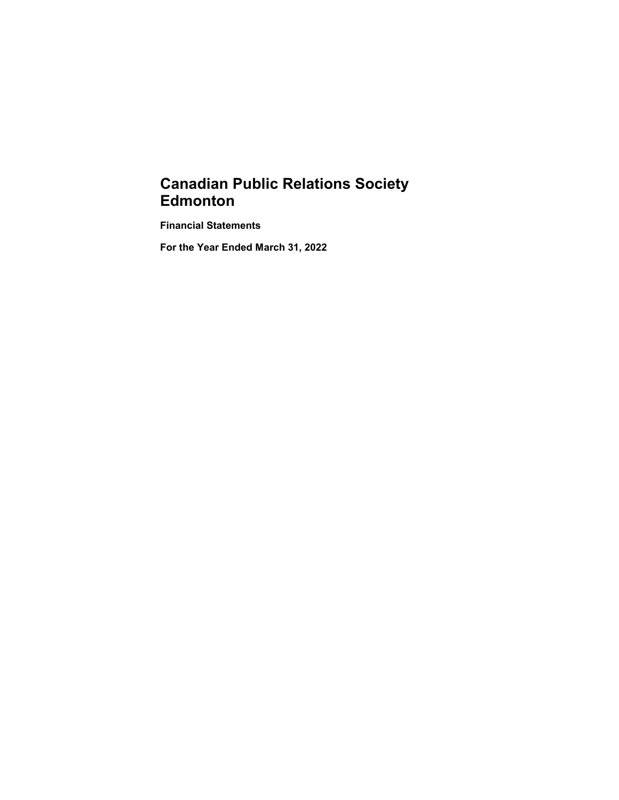# **Canadian Public Relations Society Edmonton**

**Financial Statements**

**For the Year Ended March 31, 2022**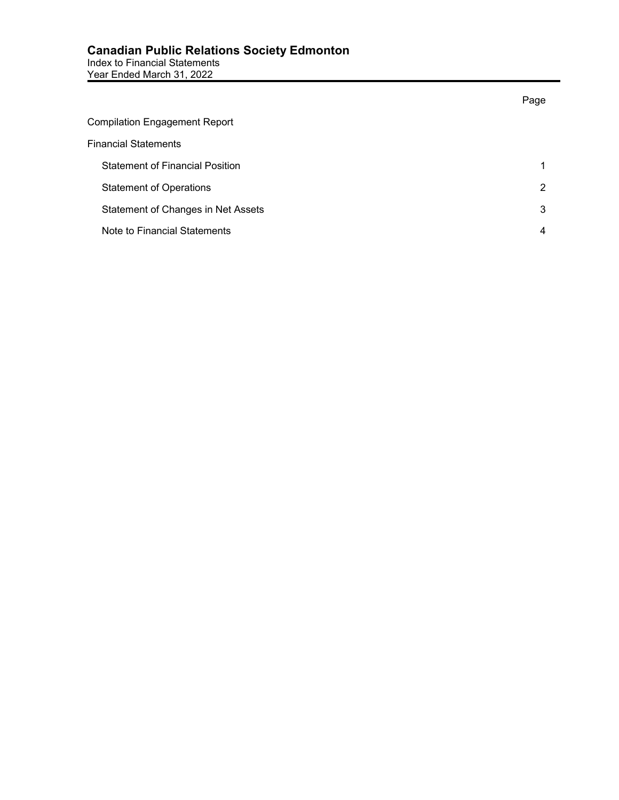|                                        | Page |
|----------------------------------------|------|
| <b>Compilation Engagement Report</b>   |      |
| <b>Financial Statements</b>            |      |
| <b>Statement of Financial Position</b> |      |
| <b>Statement of Operations</b>         | 2    |
| Statement of Changes in Net Assets     | 3    |
| Note to Financial Statements           | 4    |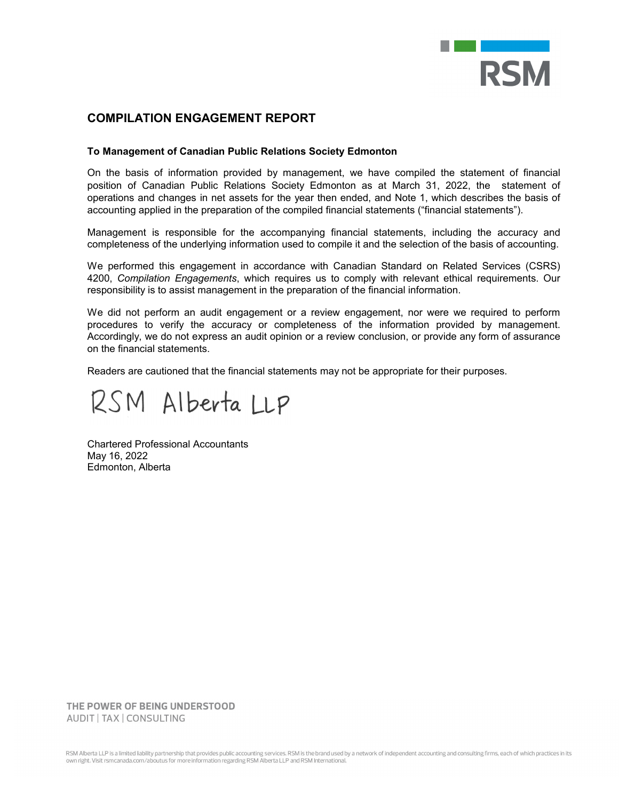

## **COMPILATION ENGAGEMENT REPORT**

#### **To Management of Canadian Public Relations Society Edmonton**

On the basis of information provided by management, we have compiled the statement of financial position of Canadian Public Relations Society Edmonton as at March 31, 2022, the statement of operations and changes in net assets for the year then ended, and Note 1, which describes the basis of accounting applied in the preparation of the compiled financial statements ("financial statements").

Management is responsible for the accompanying financial statements, including the accuracy and completeness of the underlying information used to compile it and the selection of the basis of accounting.

We performed this engagement in accordance with Canadian Standard on Related Services (CSRS) 4200, *Compilation Engagements*, which requires us to comply with relevant ethical requirements. Our responsibility is to assist management in the preparation of the financial information.

We did not perform an audit engagement or a review engagement, nor were we required to perform procedures to verify the accuracy or completeness of the information provided by management. Accordingly, we do not express an audit opinion or a review conclusion, or provide any form of assurance on the financial statements.

Readers are cautioned that the financial statements may not be appropriate for their purposes.

RSM Alberta LLP

Chartered Professional Accountants May 16, 2022 Edmonton, Alberta

THE POWER OF BEING UNDERSTOOD AUDIT | TAX | CONSULTING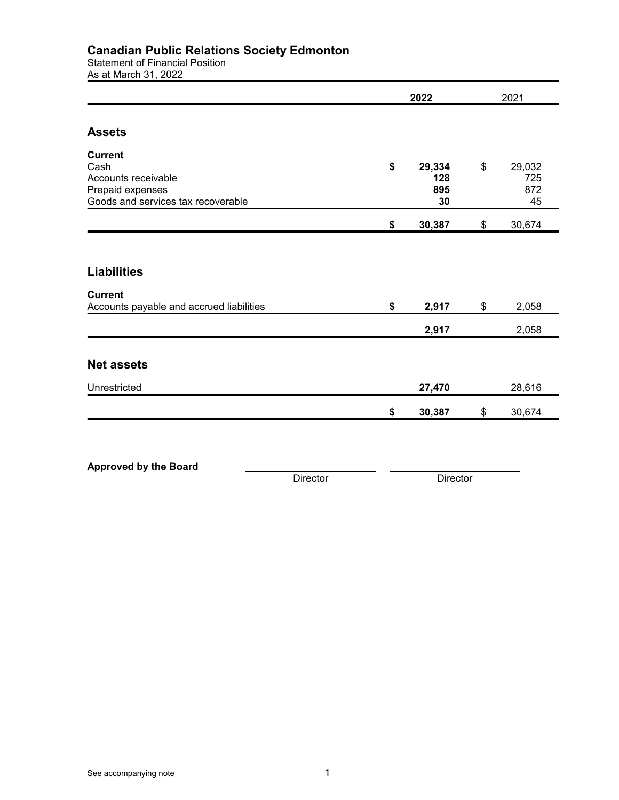### **Canadian Public Relations Society Edmonton**

Statement of Financial Position

As at March 31, 2022

|                                                                                                         | 2022     |    | 2021                       |    |                            |
|---------------------------------------------------------------------------------------------------------|----------|----|----------------------------|----|----------------------------|
| <b>Assets</b>                                                                                           |          |    |                            |    |                            |
| <b>Current</b><br>Cash<br>Accounts receivable<br>Prepaid expenses<br>Goods and services tax recoverable |          | \$ | 29,334<br>128<br>895<br>30 | \$ | 29,032<br>725<br>872<br>45 |
|                                                                                                         |          | \$ | 30,387                     | \$ | 30,674                     |
| <b>Liabilities</b>                                                                                      |          |    |                            |    |                            |
| <b>Current</b><br>Accounts payable and accrued liabilities                                              |          | \$ | 2,917                      | \$ | 2,058                      |
|                                                                                                         |          |    | 2,917                      |    | 2,058                      |
| <b>Net assets</b>                                                                                       |          |    |                            |    |                            |
| Unrestricted                                                                                            |          |    | 27,470                     |    | 28,616                     |
|                                                                                                         |          | \$ | 30,387                     | \$ | 30,674                     |
|                                                                                                         |          |    |                            |    |                            |
| <b>Approved by the Board</b>                                                                            | Director |    | Director                   |    |                            |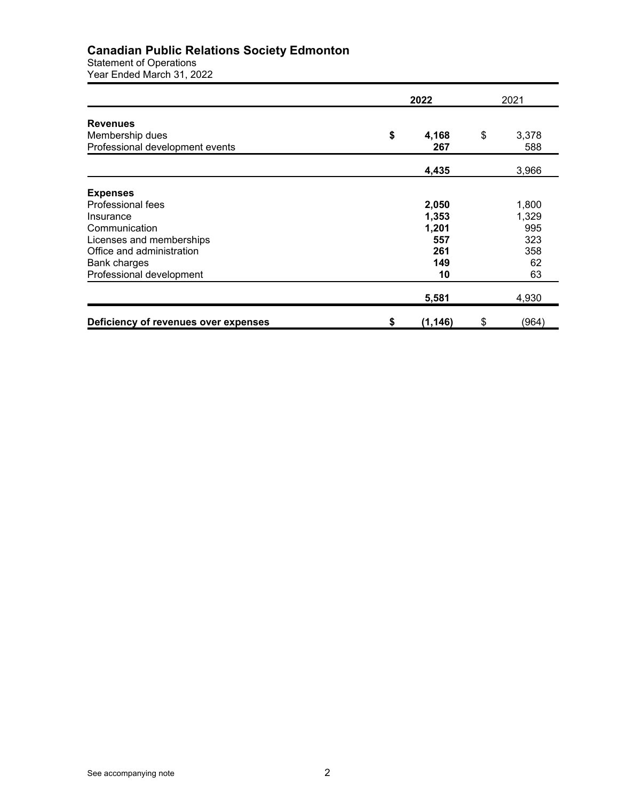#### **Canadian Public Relations Society Edmonton**

Statement of Operations Year Ended March 31, 2022

|                                                                       | 2022 |              | 2021 |              |
|-----------------------------------------------------------------------|------|--------------|------|--------------|
| <b>Revenues</b><br>Membership dues<br>Professional development events | \$   | 4,168<br>267 | \$   | 3,378<br>588 |
|                                                                       |      | 4,435        |      | 3,966        |
| <b>Expenses</b>                                                       |      |              |      |              |
| Professional fees                                                     |      | 2,050        |      | 1,800        |
| Insurance                                                             |      | 1,353        |      | 1,329        |
| Communication                                                         |      | 1,201        |      | 995          |
| Licenses and memberships                                              |      | 557          |      | 323          |
| Office and administration                                             |      | 261          |      | 358          |
| <b>Bank charges</b>                                                   |      | 149          |      | 62           |
| Professional development                                              |      | 10           |      | 63           |
|                                                                       |      | 5,581        |      | 4,930        |
| Deficiency of revenues over expenses                                  | \$   | (1, 146)     | \$   | (964)        |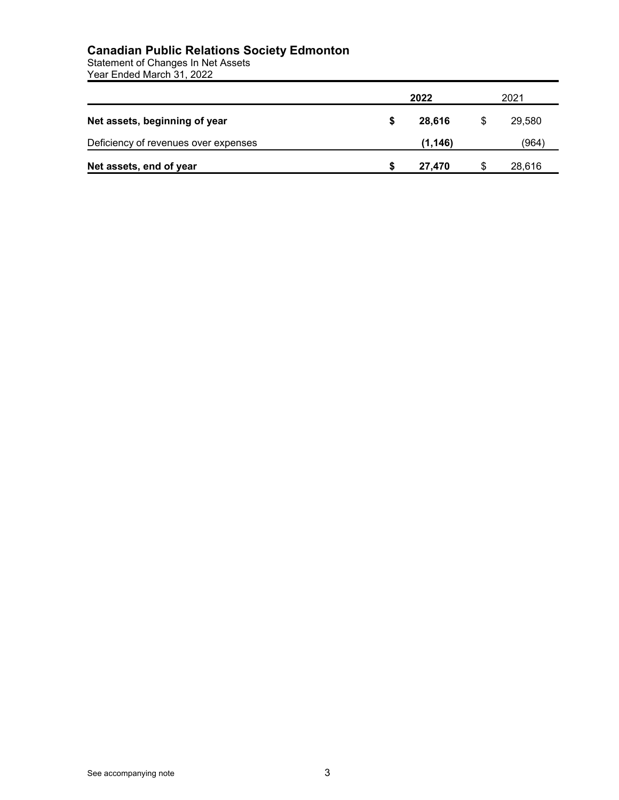#### **Canadian Public Relations Society Edmonton**

Statement of Changes In Net Assets Year Ended March 31, 2022

|                                      |   | 2022    |    | 2021   |  |
|--------------------------------------|---|---------|----|--------|--|
| Net assets, beginning of year        | S | 28,616  | \$ | 29.580 |  |
| Deficiency of revenues over expenses |   | (1.146) |    | (964)  |  |
| Net assets, end of year              |   | 27.470  | S  | 28,616 |  |